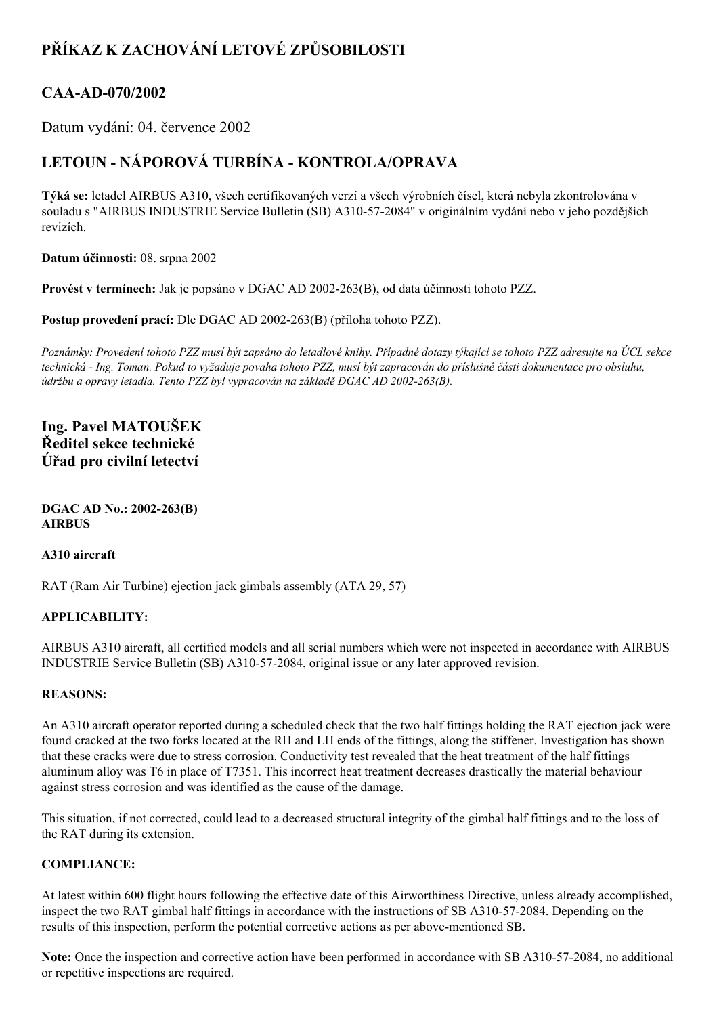# **PŘÍKAZ K ZACHOVÁNÍ LETOVÉ ZPŮSOBILOSTI**

### CAA-AD-070/2002

Datum vydání: 04. července 2002

## **LETOUN NÁPOROVÁ TURBÍNA KONTROLA/OPRAVA**

**Týká se:** letadel AIRBUS A310, všech certifikovaných verzí a všech výrobních čísel, která nebyla zkontrolována v souladu s "AIRBUS INDUSTRIE Service Bulletin (SB) A310-57-2084" v originálním vydání nebo v jeho pozdějších revizích.

**Datum účinnosti:** 08. srpna 2002

**Provést v termínech:** Jak je popsáno v DGAC AD 2002263(B), od data účinnosti tohoto PZZ.

**Postup provedení prací:** Dle DGAC AD 2002-263(B) (příloha tohoto PZZ).

Poznámky: Provedení tohoto PZZ musí být zapsáno do letadlové knihy. Případné dotazy týkající se tohoto PZZ adresujte na ÚCL sekce technická - Ing. Toman. Pokud to vyžaduje povaha tohoto PZZ, musí být zapracován do příslušné části dokumentace pro obsluhu, *údržbu a opravy letadla. Tento PZZ byl vypracován na základě DGAC AD 2002263(B).*

### **Ing. Pavel MATOUŠEK Ředitel sekce technické Úřad pro civilní letectví**

**DGAC AD No.:** 2002-263(B) **AIRBUS**

#### **A310 aircraft**

RAT (Ram Air Turbine) ejection jack gimbals assembly (ATA 29, 57)

#### **APPLICABILITY:**

AIRBUS A310 aircraft, all certified models and all serial numbers which were not inspected in accordance with AIRBUS INDUSTRIE Service Bulletin (SB) A310572084, original issue or any later approved revision.

#### **REASONS:**

An A310 aircraft operator reported during a scheduled check that the two half fittings holding the RAT ejection jack were found cracked at the two forks located at the RH and LH ends of the fittings, along the stiffener. Investigation has shown that these cracks were due to stress corrosion. Conductivity test revealed that the heat treatment of the half fittings aluminum alloy was T6 in place of T7351. This incorrect heat treatment decreases drastically the material behaviour against stress corrosion and was identified as the cause of the damage.

This situation, if not corrected, could lead to a decreased structural integrity of the gimbal half fittings and to the loss of the RAT during its extension.

#### **COMPLIANCE:**

At latest within 600 flight hours following the effective date of this Airworthiness Directive, unless already accomplished, inspect the two RAT gimbal half fittings in accordance with the instructions of SB A310-57-2084. Depending on the results of this inspection, perform the potential corrective actions as per above-mentioned SB.

**Note:** Once the inspection and corrective action have been performed in accordance with SB A310-57-2084, no additional or repetitive inspections are required.